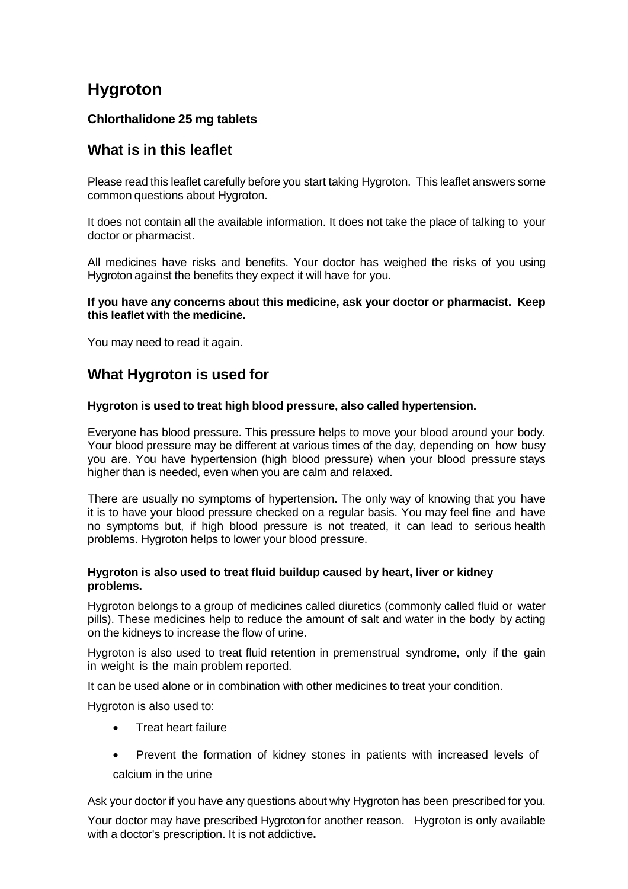# **Hygroton**

### **Chlorthalidone 25 mg tablets**

# **What is in this leaflet**

Please read this leaflet carefully before you start taking Hygroton. This leaflet answers some common questions about Hygroton.

It does not contain all the available information. It does not take the place of talking to your doctor or pharmacist.

All medicines have risks and benefits. Your doctor has weighed the risks of you using Hygroton against the benefits they expect it will have for you.

#### **If you have any concerns about this medicine, ask your doctor or pharmacist. Keep this leaflet with the medicine.**

You may need to read it again.

# **What Hygroton is used for**

### **Hygroton is used to treat high blood pressure, also called hypertension.**

Everyone has blood pressure. This pressure helps to move your blood around your body. Your blood pressure may be different at various times of the day, depending on how busy you are. You have hypertension (high blood pressure) when your blood pressure stays higher than is needed, even when you are calm and relaxed.

There are usually no symptoms of hypertension. The only way of knowing that you have it is to have your blood pressure checked on a regular basis. You may feel fine and have no symptoms but, if high blood pressure is not treated, it can lead to serious health problems. Hygroton helps to lower your blood pressure.

#### **Hygroton is also used to treat fluid buildup caused by heart, liver or kidney problems.**

Hygroton belongs to a group of medicines called diuretics (commonly called fluid or water pills). These medicines help to reduce the amount of salt and water in the body by acting on the kidneys to increase the flow of urine.

Hygroton is also used to treat fluid retention in premenstrual syndrome, only if the gain in weight is the main problem reported.

It can be used alone or in combination with other medicines to treat your condition.

Hygroton is also used to:

- Treat heart failure
- Prevent the formation of kidney stones in patients with increased levels of calcium in the urine

Ask your doctor if you have any questions about why Hygroton has been prescribed for you.

Your doctor may have prescribed Hygroton for another reason. Hygroton is only available with a doctor's prescription. It is not addictive**.**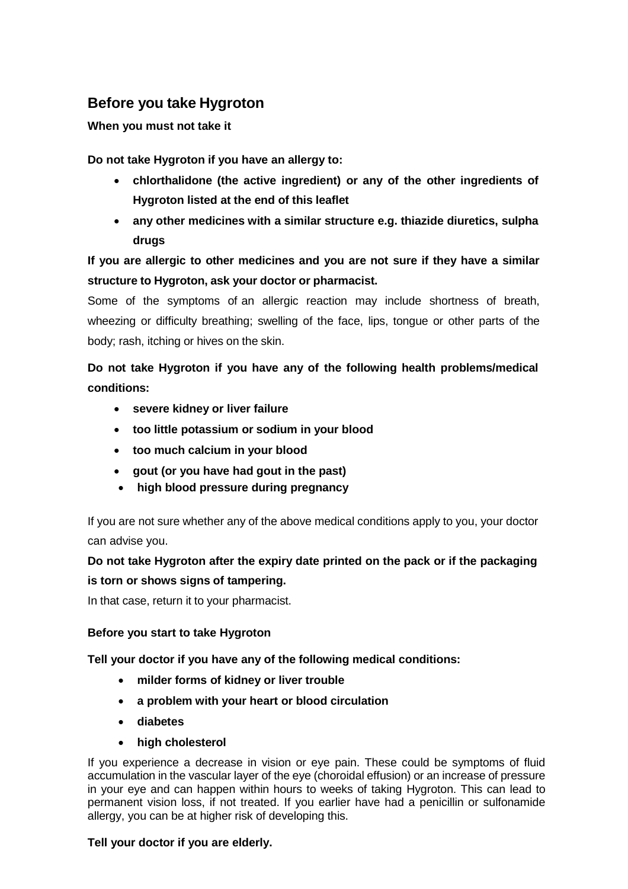# **Before you take Hygroton**

### **When you must not take it**

**Do not take Hygroton if you have an allergy to:**

- **chlorthalidone (the active ingredient) or any of the other ingredients of Hygroton listed at the end of this leaflet**
- **any other medicines with a similar structure e.g. thiazide diuretics, sulpha drugs**

# **If you are allergic to other medicines and you are not sure if they have a similar structure to Hygroton, ask your doctor or pharmacist.**

Some of the symptoms of an allergic reaction may include shortness of breath, wheezing or difficulty breathing; swelling of the face, lips, tongue or other parts of the body; rash, itching or hives on the skin.

**Do not take Hygroton if you have any of the following health problems/medical conditions:**

- **severe kidney or liver failure**
- **too little potassium or sodium in your blood**
- **too much calcium in your blood**
- **gout (or you have had gout in the past)**
- **high blood pressure during pregnancy**

If you are not sure whether any of the above medical conditions apply to you, your doctor can advise you.

# **Do not take Hygroton after the expiry date printed on the pack or if the packaging is torn or shows signs of tampering.**

In that case, return it to your pharmacist.

### **Before you start to take Hygroton**

**Tell your doctor if you have any of the following medical conditions:**

- **milder forms of kidney or liver trouble**
- **a problem with your heart or blood circulation**
- **diabetes**
- **high cholesterol**

If you experience a decrease in vision or eye pain. These could be symptoms of fluid accumulation in the vascular layer of the eye (choroidal effusion) or an increase of pressure in your eye and can happen within hours to weeks of taking Hygroton. This can lead to permanent vision loss, if not treated. If you earlier have had a penicillin or sulfonamide allergy, you can be at higher risk of developing this.

#### **Tell your doctor if you are elderly.**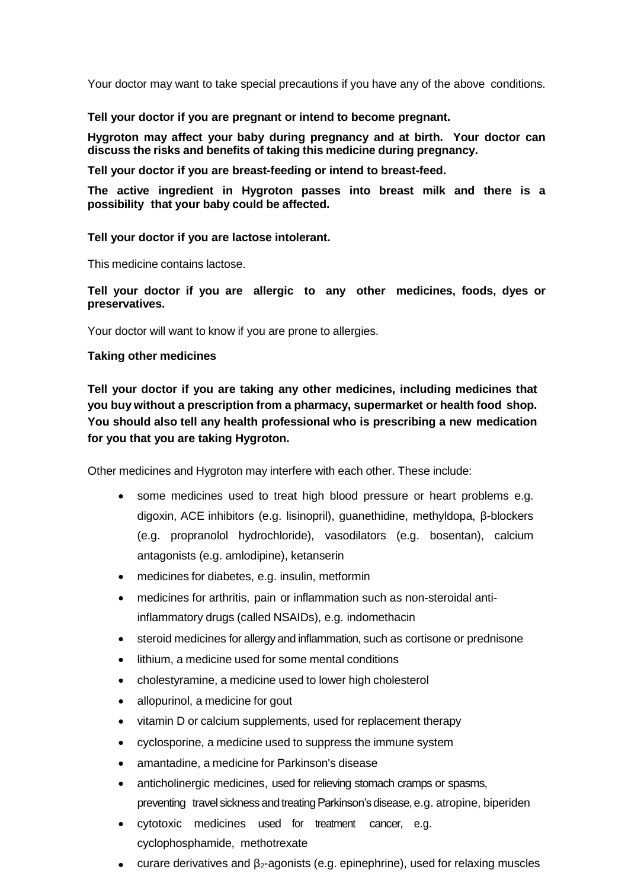Your doctor may want to take special precautions if you have any of the above conditions.

**Tell your doctor if you are pregnant or intend to become pregnant.**

**Hygroton may affect your baby during pregnancy and at birth. Your doctor can discuss the risks and benefits of taking this medicine during pregnancy.**

**Tell your doctor if you are breast-feeding or intend to breast-feed.**

**The active ingredient in Hygroton passes into breast milk and there is a possibility that your baby could be affected.**

**Tell your doctor if you are lactose intolerant.**

This medicine contains lactose.

**Tell your doctor if you are allergic to any other medicines, foods, dyes or preservatives.**

Your doctor will want to know if you are prone to allergies.

#### **Taking other medicines**

**Tell your doctor if you are taking any other medicines, including medicines that you buy without a prescription from a pharmacy, supermarket or health food shop. You should also tell any health professional who is prescribing a new medication for you that you are taking Hygroton.**

Other medicines and Hygroton may interfere with each other. These include:

- some medicines used to treat high blood pressure or heart problems e.g. digoxin, ACE inhibitors (e.g. lisinopril), guanethidine, methyldopa, β-blockers (e.g. propranolol hydrochloride), vasodilators (e.g. bosentan), calcium antagonists (e.g. amlodipine), ketanserin
- medicines for diabetes, e.g. insulin, metformin
- medicines for arthritis, pain or inflammation such as non-steroidal antiinflammatory drugs (called NSAIDs), e.g. indomethacin
- steroid medicines for allergy and inflammation, such as cortisone or prednisone
- lithium, a medicine used for some mental conditions
- cholestyramine, a medicine used to lower high cholesterol
- allopurinol, a medicine for gout
- vitamin D or calcium supplements, used for replacement therapy
- cyclosporine, a medicine used to suppress the immune system
- amantadine, a medicine for Parkinson's disease
- anticholinergic medicines, used for relieving stomach cramps or spasms, preventing travel sickness and treating Parkinson's disease, e.g. atropine, biperiden
- cytotoxic medicines used for treatment cancer, e.g. cyclophosphamide, methotrexate
- curare derivatives and  $β<sub>2</sub>$ -agonists (e.g. epinephrine), used for relaxing muscles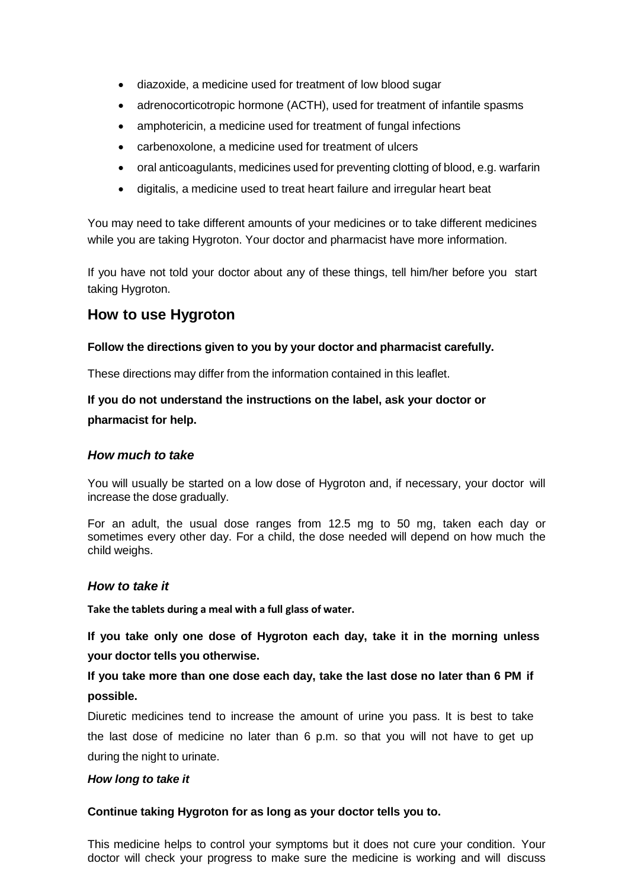- diazoxide, a medicine used for treatment of low blood sugar
- adrenocorticotropic hormone (ACTH), used for treatment of infantile spasms
- amphotericin, a medicine used for treatment of fungal infections
- carbenoxolone, a medicine used for treatment of ulcers
- oral anticoagulants, medicines used for preventing clotting of blood, e.g. warfarin
- digitalis, a medicine used to treat heart failure and irregular heart beat

You may need to take different amounts of your medicines or to take different medicines while you are taking Hygroton. Your doctor and pharmacist have more information.

If you have not told your doctor about any of these things, tell him/her before you start taking Hygroton.

# **How to use Hygroton**

#### **Follow the directions given to you by your doctor and pharmacist carefully.**

These directions may differ from the information contained in this leaflet.

**If you do not understand the instructions on the label, ask your doctor or pharmacist for help.**

#### *How much to take*

You will usually be started on a low dose of Hygroton and, if necessary, your doctor will increase the dose gradually.

For an adult, the usual dose ranges from 12.5 mg to 50 mg, taken each day or sometimes every other day. For a child, the dose needed will depend on how much the child weighs.

#### *How to take it*

**Take the tablets during a meal with a full glass of water.**

**If you take only one dose of Hygroton each day, take it in the morning unless your doctor tells you otherwise.**

# **If you take more than one dose each day, take the last dose no later than 6 PM if possible.**

Diuretic medicines tend to increase the amount of urine you pass. It is best to take the last dose of medicine no later than 6 p.m. so that you will not have to get up during the night to urinate.

#### *How long to take it*

#### **Continue taking Hygroton for as long as your doctor tells you to.**

This medicine helps to control your symptoms but it does not cure your condition. Your doctor will check your progress to make sure the medicine is working and will discuss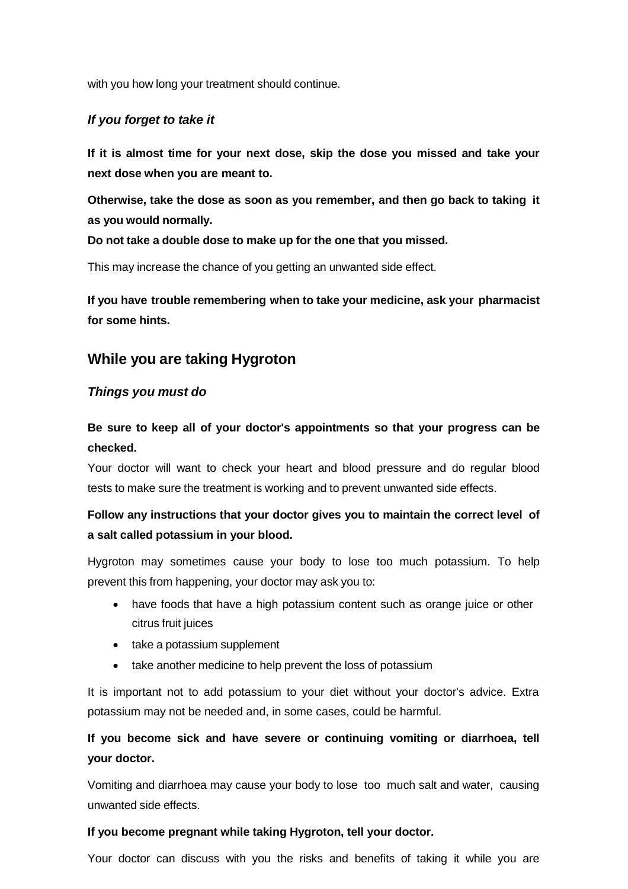with you how long your treatment should continue.

### *If you forget to take it*

**If it is almost time for your next dose, skip the dose you missed and take your next dose when you are meant to.**

**Otherwise, take the dose as soon as you remember, and then go back to taking it as you would normally.**

**Do not take a double dose to make up for the one that you missed.**

This may increase the chance of you getting an unwanted side effect.

**If you have trouble remembering when to take your medicine, ask your pharmacist for some hints.**

### **While you are taking Hygroton**

### *Things you must do*

**Be sure to keep all of your doctor's appointments so that your progress can be checked.**

Your doctor will want to check your heart and blood pressure and do regular blood tests to make sure the treatment is working and to prevent unwanted side effects.

# **Follow any instructions that your doctor gives you to maintain the correct level of a salt called potassium in your blood.**

Hygroton may sometimes cause your body to lose too much potassium. To help prevent this from happening, your doctor may ask you to:

- have foods that have a high potassium content such as orange juice or other citrus fruit juices
- take a potassium supplement
- take another medicine to help prevent the loss of potassium

It is important not to add potassium to your diet without your doctor's advice. Extra potassium may not be needed and, in some cases, could be harmful.

# **If you become sick and have severe or continuing vomiting or diarrhoea, tell your doctor.**

Vomiting and diarrhoea may cause your body to lose too much salt and water, causing unwanted side effects.

#### **If you become pregnant while taking Hygroton, tell your doctor.**

Your doctor can discuss with you the risks and benefits of taking it while you are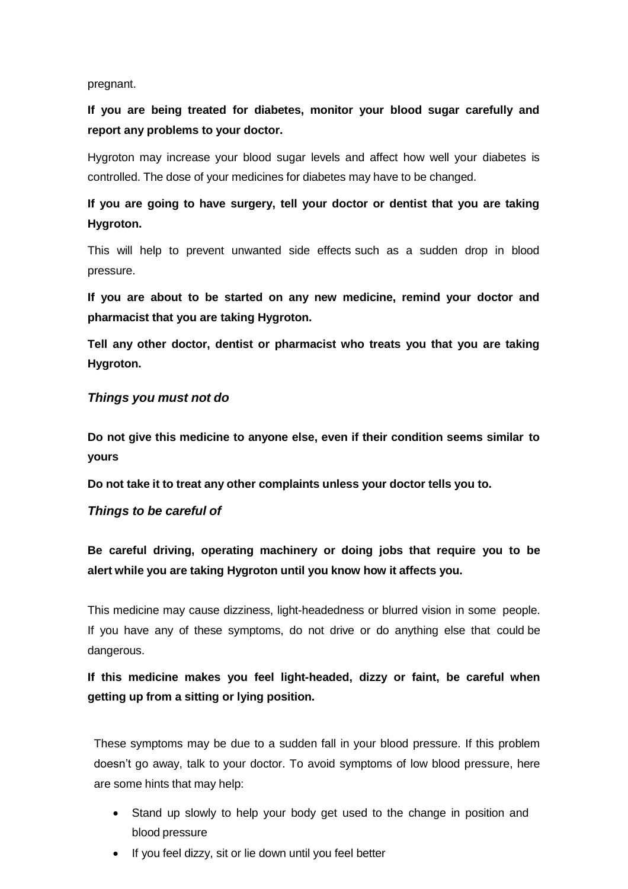#### pregnant.

**If you are being treated for diabetes, monitor your blood sugar carefully and report any problems to your doctor.**

Hygroton may increase your blood sugar levels and affect how well your diabetes is controlled. The dose of your medicines for diabetes may have to be changed.

**If you are going to have surgery, tell your doctor or dentist that you are taking Hygroton.**

This will help to prevent unwanted side effects such as a sudden drop in blood pressure.

**If you are about to be started on any new medicine, remind your doctor and pharmacist that you are taking Hygroton.**

**Tell any other doctor, dentist or pharmacist who treats you that you are taking Hygroton.**

#### *Things you must not do*

**Do not give this medicine to anyone else, even if their condition seems similar to yours**

**Do not take it to treat any other complaints unless your doctor tells you to.**

### *Things to be careful of*

**Be careful driving, operating machinery or doing jobs that require you to be alert while you are taking Hygroton until you know how it affects you.**

This medicine may cause dizziness, light-headedness or blurred vision in some people. If you have any of these symptoms, do not drive or do anything else that could be dangerous.

# **If this medicine makes you feel light-headed, dizzy or faint, be careful when getting up from a sitting or lying position.**

These symptoms may be due to a sudden fall in your blood pressure. If this problem doesn't go away, talk to your doctor. To avoid symptoms of low blood pressure, here are some hints that may help:

- Stand up slowly to help your body get used to the change in position and blood pressure
- If you feel dizzy, sit or lie down until you feel better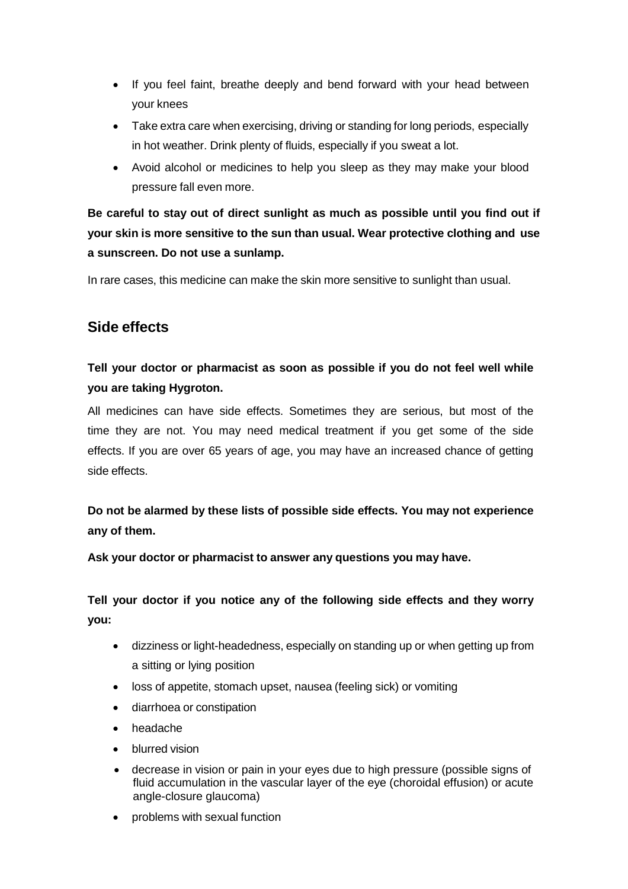- If you feel faint, breathe deeply and bend forward with your head between your knees
- Take extra care when exercising, driving or standing for long periods, especially in hot weather. Drink plenty of fluids, especially if you sweat a lot.
- Avoid alcohol or medicines to help you sleep as they may make your blood pressure fall even more.

**Be careful to stay out of direct sunlight as much as possible until you find out if your skin is more sensitive to the sun than usual. Wear protective clothing and use a sunscreen. Do not use a sunlamp.**

In rare cases, this medicine can make the skin more sensitive to sunlight than usual.

# **Side effects**

# **Tell your doctor or pharmacist as soon as possible if you do not feel well while you are taking Hygroton.**

All medicines can have side effects. Sometimes they are serious, but most of the time they are not. You may need medical treatment if you get some of the side effects. If you are over 65 years of age, you may have an increased chance of getting side effects.

**Do not be alarmed by these lists of possible side effects. You may not experience any of them.**

**Ask your doctor or pharmacist to answer any questions you may have.**

**Tell your doctor if you notice any of the following side effects and they worry you:**

- dizziness or light-headedness, especially on standing up or when getting up from a sitting or lying position
- loss of appetite, stomach upset, nausea (feeling sick) or vomiting
- diarrhoea or constipation
- headache
- blurred vision
- decrease in vision or pain in your eyes due to high pressure (possible signs of fluid accumulation in the vascular layer of the eye (choroidal effusion) or acute angle-closure glaucoma)
- problems with sexual function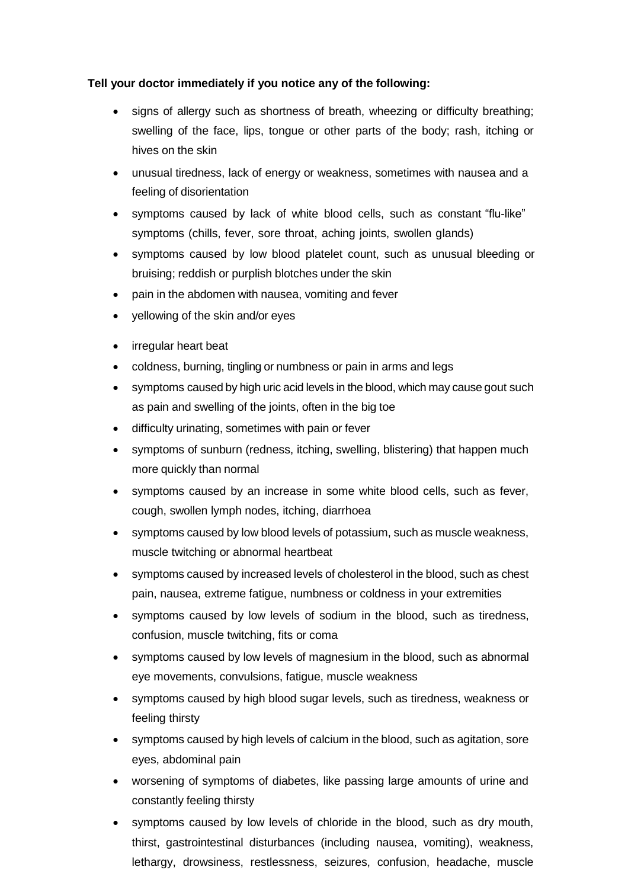### **Tell your doctor immediately if you notice any of the following:**

- signs of allergy such as shortness of breath, wheezing or difficulty breathing; swelling of the face, lips, tongue or other parts of the body; rash, itching or hives on the skin
- unusual tiredness, lack of energy or weakness, sometimes with nausea and a feeling of disorientation
- symptoms caused by lack of white blood cells, such as constant "flu-like" symptoms (chills, fever, sore throat, aching joints, swollen glands)
- symptoms caused by low blood platelet count, such as unusual bleeding or bruising; reddish or purplish blotches under the skin
- pain in the abdomen with nausea, vomiting and fever
- yellowing of the skin and/or eyes
- irregular heart beat
- coldness, burning, tingling or numbness or pain in arms and legs
- symptoms caused by high uric acid levels in the blood, which may cause gout such as pain and swelling of the joints, often in the big toe
- difficulty urinating, sometimes with pain or fever
- symptoms of sunburn (redness, itching, swelling, blistering) that happen much more quickly than normal
- symptoms caused by an increase in some white blood cells, such as fever, cough, swollen lymph nodes, itching, diarrhoea
- symptoms caused by low blood levels of potassium, such as muscle weakness, muscle twitching or abnormal heartbeat
- symptoms caused by increased levels of cholesterol in the blood, such as chest pain, nausea, extreme fatigue, numbness or coldness in your extremities
- symptoms caused by low levels of sodium in the blood, such as tiredness, confusion, muscle twitching, fits or coma
- symptoms caused by low levels of magnesium in the blood, such as abnormal eye movements, convulsions, fatigue, muscle weakness
- symptoms caused by high blood sugar levels, such as tiredness, weakness or feeling thirsty
- symptoms caused by high levels of calcium in the blood, such as agitation, sore eyes, abdominal pain
- worsening of symptoms of diabetes, like passing large amounts of urine and constantly feeling thirsty
- symptoms caused by low levels of chloride in the blood, such as dry mouth, thirst, gastrointestinal disturbances (including nausea, vomiting), weakness, lethargy, drowsiness, restlessness, seizures, confusion, headache, muscle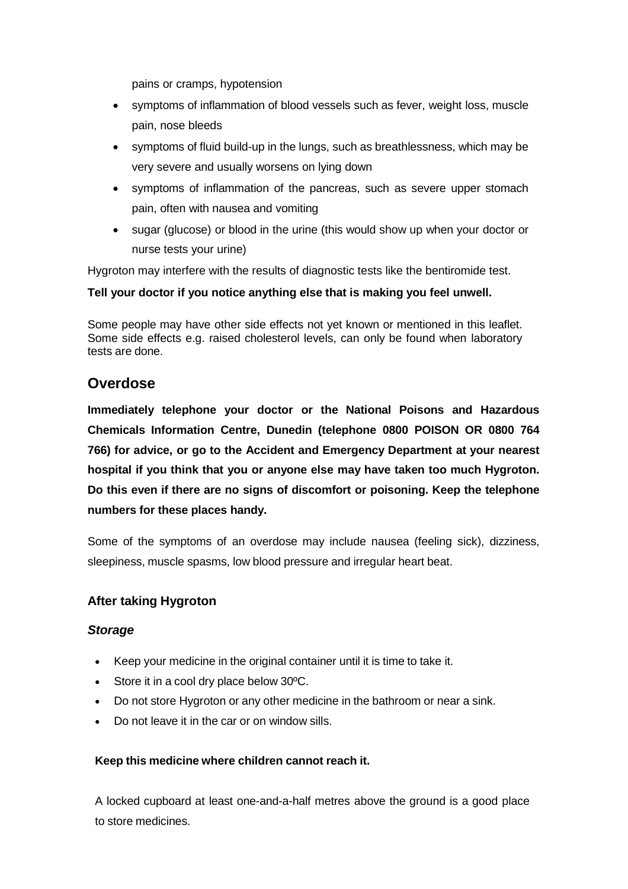pains or cramps, hypotension

- symptoms of inflammation of blood vessels such as fever, weight loss, muscle pain, nose bleeds
- symptoms of fluid build-up in the lungs, such as breathlessness, which may be very severe and usually worsens on lying down
- symptoms of inflammation of the pancreas, such as severe upper stomach pain, often with nausea and vomiting
- sugar (glucose) or blood in the urine (this would show up when your doctor or nurse tests your urine)

Hygroton may interfere with the results of diagnostic tests like the bentiromide test.

### **Tell your doctor if you notice anything else that is making you feel unwell.**

Some people may have other side effects not yet known or mentioned in this leaflet. Some side effects e.g. raised cholesterol levels, can only be found when laboratory tests are done.

# **Overdose**

**Immediately telephone your doctor or the National Poisons and Hazardous Chemicals Information Centre, Dunedin (telephone 0800 POISON OR 0800 764 766) for advice, or go to the Accident and Emergency Department at your nearest hospital if you think that you or anyone else may have taken too much Hygroton. Do this even if there are no signs of discomfort or poisoning. Keep the telephone numbers for these places handy.**

Some of the symptoms of an overdose may include nausea (feeling sick), dizziness, sleepiness, muscle spasms, low blood pressure and irregular heart beat.

### **After taking Hygroton**

#### *Storage*

- Keep your medicine in the original container until it is time to take it.
- Store it in a cool dry place below 30°C.
- Do not store Hygroton or any other medicine in the bathroom or near a sink.
- Do not leave it in the car or on window sills.

#### **Keep this medicine where children cannot reach it.**

A locked cupboard at least one-and-a-half metres above the ground is a good place to store medicines.